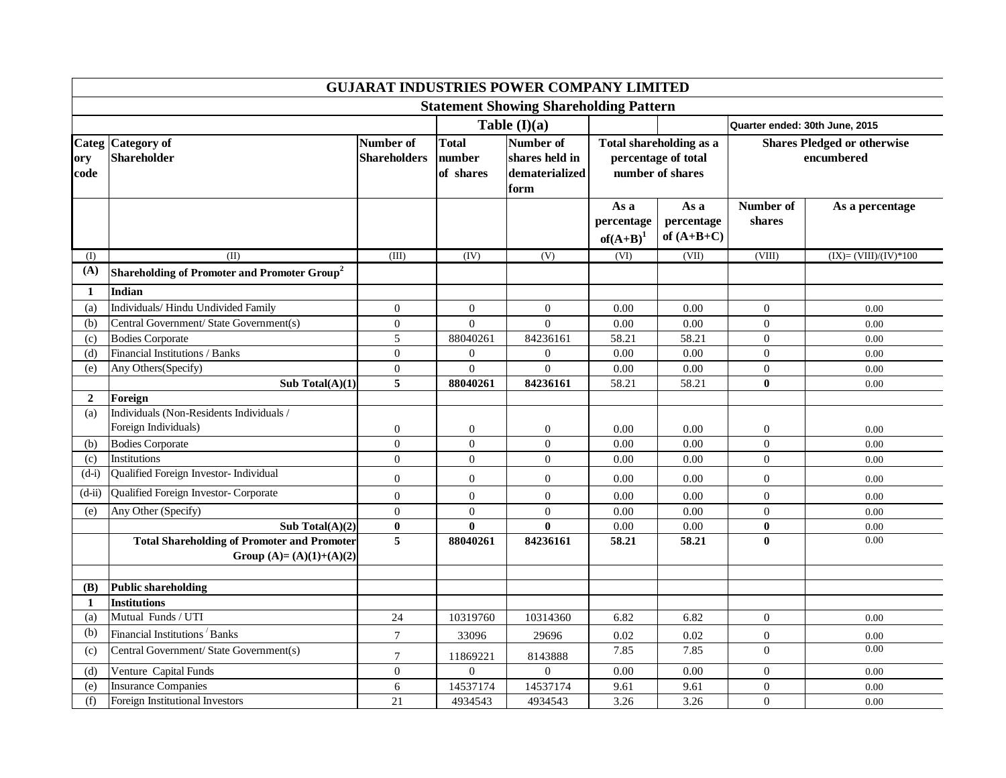| <b>GUJARAT INDUSTRIES POWER COMPANY LIMITED</b> |                                                                                |                                  |                                     |                                                       |                                   |                                                                    |                                                  |                        |  |  |  |
|-------------------------------------------------|--------------------------------------------------------------------------------|----------------------------------|-------------------------------------|-------------------------------------------------------|-----------------------------------|--------------------------------------------------------------------|--------------------------------------------------|------------------------|--|--|--|
| <b>Statement Showing Shareholding Pattern</b>   |                                                                                |                                  |                                     |                                                       |                                   |                                                                    |                                                  |                        |  |  |  |
|                                                 |                                                                                | Table $(I)(a)$                   |                                     |                                                       |                                   | Quarter ended: 30th June, 2015                                     |                                                  |                        |  |  |  |
| ory<br>code                                     | Categ Category of<br><b>Shareholder</b>                                        | Number of<br><b>Shareholders</b> | <b>Total</b><br>number<br>of shares | Number of<br>shares held in<br>dematerialized<br>form |                                   | Total shareholding as a<br>percentage of total<br>number of shares | <b>Shares Pledged or otherwise</b><br>encumbered |                        |  |  |  |
|                                                 |                                                                                |                                  |                                     |                                                       | As a<br>percentage<br>$of(A+B)^1$ | As a<br>percentage<br>of $(A+B+C)$                                 | Number of<br>shares                              | As a percentage        |  |  |  |
| (I)                                             | (II)                                                                           | (III)                            | (IV)                                | (V)                                                   | (VI)                              | (VII)                                                              | (VIII)                                           | $(IX)=(VIII)/(IV)*100$ |  |  |  |
| (A)                                             | Shareholding of Promoter and Promoter Group <sup>2</sup>                       |                                  |                                     |                                                       |                                   |                                                                    |                                                  |                        |  |  |  |
| 1                                               | Indian                                                                         |                                  |                                     |                                                       |                                   |                                                                    |                                                  |                        |  |  |  |
| (a)                                             | Individuals/Hindu Undivided Family                                             | $\overline{0}$                   | $\mathbf{0}$                        | $\overline{0}$                                        | 0.00                              | 0.00                                                               | $\mathbf{0}$                                     | 0.00                   |  |  |  |
| (b)                                             | Central Government/ State Government(s)                                        | $\overline{0}$                   | $\Omega$                            | $\Omega$                                              | 0.00                              | $0.00\,$                                                           | $\mathbf{0}$                                     | 0.00                   |  |  |  |
| (c)                                             | <b>Bodies Corporate</b>                                                        | 5                                | 88040261                            | 84236161                                              | 58.21                             | 58.21                                                              | $\overline{0}$                                   | 0.00                   |  |  |  |
| (d)                                             | Financial Institutions / Banks                                                 | $\overline{0}$                   | $\overline{0}$                      | $\overline{0}$                                        | 0.00                              | 0.00                                                               | $\overline{0}$                                   | 0.00                   |  |  |  |
| (e)                                             | Any Others(Specify)                                                            | $\boldsymbol{0}$                 | $\overline{0}$                      | $\overline{0}$                                        | 0.00                              | $0.00\,$                                                           | $\overline{0}$                                   | 0.00                   |  |  |  |
|                                                 | Sub Total $(A)(1)$                                                             | 5                                | 88040261                            | 84236161                                              | 58.21                             | 58.21                                                              | $\bf{0}$                                         | 0.00                   |  |  |  |
| $\overline{2}$                                  | Foreign                                                                        |                                  |                                     |                                                       |                                   |                                                                    |                                                  |                        |  |  |  |
| (a)                                             | Individuals (Non-Residents Individuals /                                       |                                  |                                     |                                                       |                                   |                                                                    |                                                  |                        |  |  |  |
|                                                 | Foreign Individuals)                                                           | 0                                | $\boldsymbol{0}$                    | $\overline{0}$                                        | 0.00                              | 0.00                                                               | $\boldsymbol{0}$                                 | 0.00                   |  |  |  |
| (b)                                             | <b>Bodies Corporate</b>                                                        | $\boldsymbol{0}$                 | $\boldsymbol{0}$                    | $\mathbf{0}$                                          | 0.00                              | 0.00                                                               | $\boldsymbol{0}$                                 | 0.00                   |  |  |  |
| (c)                                             | Institutions                                                                   | $\overline{0}$                   | $\overline{0}$                      | $\overline{0}$                                        | 0.00                              | 0.00                                                               | $\overline{0}$                                   | 0.00                   |  |  |  |
| $(d-i)$                                         | Qualified Foreign Investor- Individual                                         | $\boldsymbol{0}$                 | $\mathbf{0}$                        | $\mathbf{0}$                                          | 0.00                              | 0.00                                                               | $\mathbf{0}$                                     | 0.00                   |  |  |  |
| $(d-ii)$                                        | Qualified Foreign Investor- Corporate                                          | $\overline{0}$                   | $\boldsymbol{0}$                    | $\theta$                                              | 0.00                              | 0.00                                                               | $\boldsymbol{0}$                                 | 0.00                   |  |  |  |
| (e)                                             | Any Other (Specify)                                                            | $\Omega$                         | $\boldsymbol{0}$                    | $\Omega$                                              | 0.00                              | $0.00\,$                                                           | $\boldsymbol{0}$                                 | 0.00                   |  |  |  |
|                                                 | Sub Total $(A)(2)$                                                             | $\pmb{0}$                        | $\bf{0}$                            | $\mathbf{0}$                                          | 0.00                              | $0.00\,$                                                           | $\bf{0}$                                         | 0.00                   |  |  |  |
|                                                 | <b>Total Shareholding of Promoter and Promoter</b><br>Group (A)= (A)(1)+(A)(2) | 5                                | 88040261                            | 84236161                                              | 58.21                             | 58.21                                                              | $\mathbf{0}$                                     | 0.00                   |  |  |  |
| (B)                                             | Public shareholding                                                            |                                  |                                     |                                                       |                                   |                                                                    |                                                  |                        |  |  |  |
| -1                                              | <b>Institutions</b>                                                            |                                  |                                     |                                                       |                                   |                                                                    |                                                  |                        |  |  |  |
| (a)                                             | Mutual Funds / UTI                                                             | 24                               | 10319760                            | 10314360                                              | 6.82                              | 6.82                                                               | $\mathbf{0}$                                     | 0.00                   |  |  |  |
| (b)                                             | Financial Institutions Banks                                                   | $\tau$                           | 33096                               | 29696                                                 | 0.02                              | 0.02                                                               | $\boldsymbol{0}$                                 | 0.00                   |  |  |  |
| (c)                                             | Central Government/ State Government(s)                                        | $\overline{7}$                   | 11869221                            | 8143888                                               | 7.85                              | 7.85                                                               | $\overline{0}$                                   | 0.00                   |  |  |  |
| (d)                                             | Venture Capital Funds                                                          | $\overline{0}$                   | $\boldsymbol{0}$                    | $\mathbf{0}$                                          | 0.00                              | $0.00\,$                                                           | $\mathbf{0}$                                     | 0.00                   |  |  |  |
| (e)                                             | <b>Insurance Companies</b>                                                     | 6                                | 14537174                            | 14537174                                              | 9.61                              | 9.61                                                               | $\boldsymbol{0}$                                 | 0.00                   |  |  |  |
| (f)                                             | Foreign Institutional Investors                                                | 21                               | 4934543                             | 4934543                                               | 3.26                              | 3.26                                                               | $\boldsymbol{0}$                                 | 0.00                   |  |  |  |